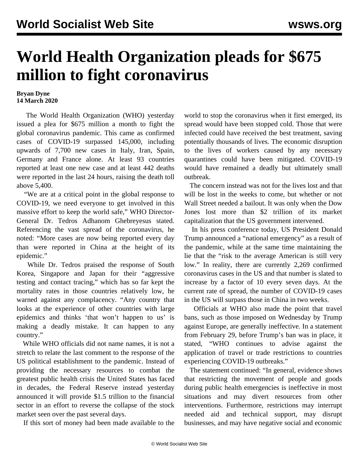## **World Health Organization pleads for \$675 million to fight coronavirus**

## **Bryan Dyne 14 March 2020**

 The World Health Organization (WHO) yesterday issued a plea for \$675 million a month to fight the global coronavirus pandemic. This came as confirmed cases of COVID-19 surpassed 145,000, including upwards of 7,700 new cases in Italy, Iran, Spain, Germany and France alone. At least 93 countries reported at least one new case and at least 442 deaths were reported in the last 24 hours, raising the death toll above 5,400.

 "We are at a critical point in the global response to COVID-19, we need everyone to get involved in this massive effort to keep the world safe," WHO Director-General Dr. Tedros Adhanom Ghebreyesus stated. Referencing the vast spread of the coronavirus, he noted: "More cases are now being reported every day than were reported in China at the height of its epidemic."

 While Dr. Tedros praised the response of South Korea, Singapore and Japan for their "aggressive testing and contact tracing," which has so far kept the mortality rates in those countries relatively low, he warned against any complacency. "Any country that looks at the experience of other countries with large epidemics and thinks 'that won't happen to us' is making a deadly mistake. It can happen to any country."

 While WHO officials did not name names, it is not a stretch to relate the last comment to the response of the US political establishment to the pandemic. Instead of providing the necessary resources to combat the greatest public health crisis the United States has faced in decades, the Federal Reserve instead yesterday announced it will provide \$1.5 trillion to the financial sector in an effort to reverse the collapse of the stock market seen over the past several days.

If this sort of money had been made available to the

world to stop the coronavirus when it first emerged, its spread would have been stopped cold. Those that were infected could have received the best treatment, saving potentially thousands of lives. The economic disruption to the lives of workers caused by any necessary quarantines could have been mitigated. COVID-19 would have remained a deadly but ultimately small outbreak.

 The concern instead was not for the lives lost and that will be lost in the weeks to come, but whether or not Wall Street needed a bailout. It was only when the Dow Jones lost more than \$2 trillion of its market capitalization that the US government intervened.

 In his press conference today, US President Donald Trump announced a "national emergency" as a result of the pandemic, while at the same time maintaining the lie that the "risk to the average American is still very low." In reality, there are currently 2,269 confirmed coronavirus cases in the US and that number is slated to increase by a factor of 10 every seven days. At the current rate of spread, the number of COVID-19 cases in the US will surpass those in China in two weeks.

 Officials at WHO also made the point that travel bans, such as those imposed on Wednesday by Trump against Europe, are generally ineffective. In a statement from February 29, before Trump's ban was in place, it stated, "WHO continues to advise against the application of travel or trade restrictions to countries experiencing COVID-19 outbreaks."

 The statement continued: "In general, evidence shows that restricting the movement of people and goods during public health emergencies is ineffective in most situations and may divert resources from other interventions. Furthermore, restrictions may interrupt needed aid and technical support, may disrupt businesses, and may have negative social and economic